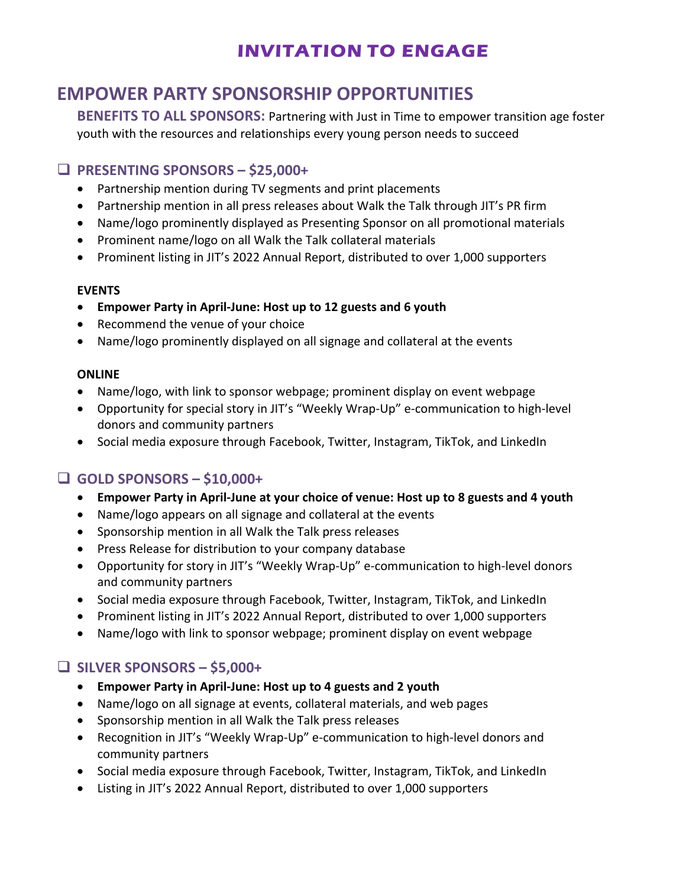# **INVITATION TO ENGAGE**

# **EMPOWER PARTY SPONSORSHIP OPPORTUNITIES**

**BENEFITS TO ALL SPONSORS:** Partnering with Just in Time to empower transition age foster youth with the resources and relationships every young person needs to succeed

### **PRESENTING SPONSORS – \$25,000+**

- Partnership mention during TV segments and print placements
- Partnership mention in all press releases about Walk the Talk through JIT's PR firm
- Name/logo prominently displayed as Presenting Sponsor on all promotional materials
- Prominent name/logo on all Walk the Talk collateral materials
- Prominent listing in JIT's 2022 Annual Report, distributed to over 1,000 supporters

#### **EVENTS**

- **Empower Party in April-June: Host up to 12 guests and 6 youth**
- Recommend the venue of your choice
- Name/logo prominently displayed on all signage and collateral at the events

#### **ONLINE**

- Name/logo, with link to sponsor webpage; prominent display on event webpage
- Opportunity for special story in JIT's "Weekly Wrap-Up" e-communication to high-level donors and community partners
- Social media exposure through Facebook, Twitter, Instagram, TikTok, and LinkedIn

### **GOLD SPONSORS – \$10,000+**

- **Empower Party in April-June at your choice of venue: Host up to 8 guests and 4 youth**
- Name/logo appears on all signage and collateral at the events
- Sponsorship mention in all Walk the Talk press releases
- Press Release for distribution to your company database
- Opportunity for story in JIT's "Weekly Wrap-Up" e-communication to high-level donors and community partners
- Social media exposure through Facebook, Twitter, Instagram, TikTok, and LinkedIn
- Prominent listing in JIT's 2022 Annual Report, distributed to over 1,000 supporters
- Name/logo with link to sponsor webpage; prominent display on event webpage

### **SILVER SPONSORS – \$5,000+**

- **Empower Party in April-June: Host up to 4 guests and 2 youth**
- Name/logo on all signage at events, collateral materials, and web pages
- Sponsorship mention in all Walk the Talk press releases
- Recognition in JIT's "Weekly Wrap-Up" e-communication to high-level donors and community partners
- Social media exposure through Facebook, Twitter, Instagram, TikTok, and LinkedIn
- Listing in JIT's 2022 Annual Report, distributed to over 1,000 supporters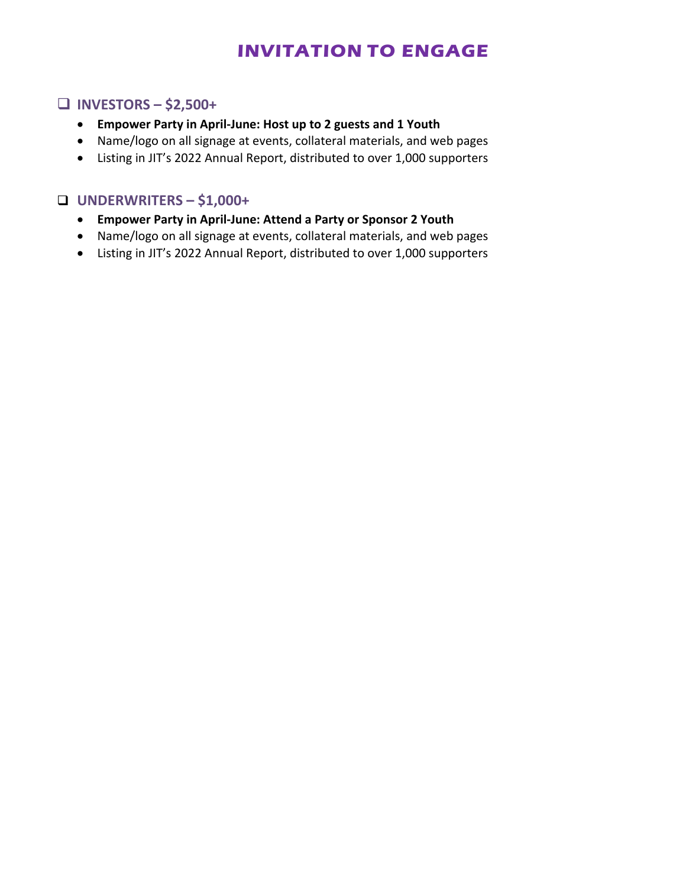# **INVITATION TO ENGAGE**

### **INVESTORS – \$2,500+**

- **Empower Party in April-June: Host up to 2 guests and 1 Youth**
- Name/logo on all signage at events, collateral materials, and web pages
- Listing in JIT's 2022 Annual Report, distributed to over 1,000 supporters

#### **UNDERWRITERS – \$1,000+**

- **Empower Party in April-June: Attend a Party or Sponsor 2 Youth**
- Name/logo on all signage at events, collateral materials, and web pages
- Listing in JIT's 2022 Annual Report, distributed to over 1,000 supporters